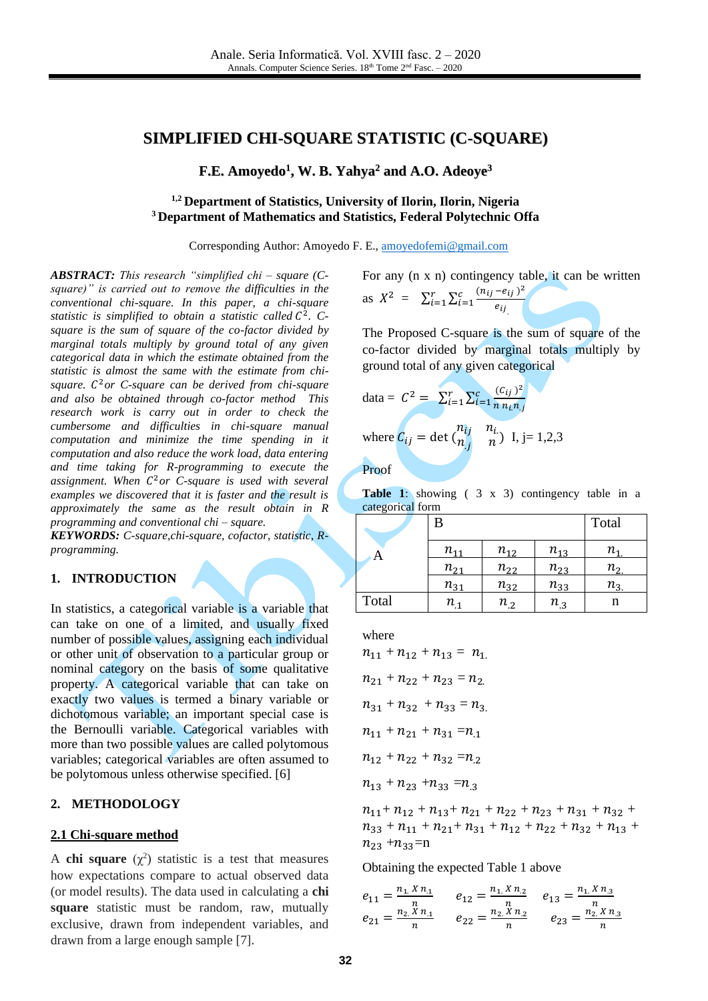# **SIMPLIFIED CHI-SQUARE STATISTIC (C-SQUARE)**

**F.E. Amoyedo 1 , W. B. Yahya <sup>2</sup> and A.O. Adeoye 3**

# **1,2 Department of Statistics, University of Ilorin, Ilorin, Nigeria <sup>3</sup> Department of Mathematics and Statistics, Federal Polytechnic Offa**

Corresponding Author: Amoyedo F. E., [amoyedofemi@gmail.com](mailto:amoyedofemi@gmail.com)

*ABSTRACT: This research "simplified chi – square (Csquare)" is carried out to remove the difficulties in the conventional chi-square. In this paper, a chi-square*  statistic is simplified to obtain a statistic called  $C^2$ . C*square is the sum of square of the co-factor divided by marginal totals multiply by ground total of any given categorical data in which the estimate obtained from the statistic is almost the same with the estimate from chisquare.*  <sup>2</sup>*or C-square can be derived from chi-square and also be obtained through co-factor method This research work is carry out in order to check the cumbersome and difficulties in chi-square manual computation and minimize the time spending in it computation and also reduce the work load, data entering and time taking for R-programming to execute the assignment. When*  <sup>2</sup>*or C-square is used with several examples we discovered that it is faster and the result is approximately the same as the result obtain in R programming and conventional chi – square.*

*KEYWORDS: C-square,chi-square, cofactor, statistic, Rprogramming.*

### **1. INTRODUCTION**

In statistics, a categorical variable is a variable that can take on one of a limited, and usually fixed number of possible values, assigning each individual or other unit of observation to a particular group or nominal category on the basis of some qualitative property. A categorical variable that can take on exactly two values is termed a binary variable or dichotomous variable; an important special case is the Bernoulli variable. Categorical variables with more than two possible values are called polytomous variables; categorical variables are often assumed to be polytomous unless otherwise specified. [\[6\]](#page-6-0)

### **2. METHODOLOGY**

### **2.1 Chi-square method**

A **chi square**  $(\chi^2)$  statistic is a test that measures how expectations compare to actual observed data (or model results). The data used in calculating a **chi square** statistic must be random, raw, mutually exclusive, drawn from independent variables, and drawn from a large enough sample [\[7\].](#page-6-1)

For any (n x n) contingency table, it can be written as  $X^2 = \sum_{i=1}^r \sum_{i=1}^c \frac{(n_{ij} - e_{ij})^2}{a_{ij}}$  $e_{ij}$  $_{i=1}^{r} \sum_{i=1}^{c}$ 

The Proposed C-square is the sum of square of the co-factor divided by marginal totals multiply by ground total of any given categorical

data = 
$$
C^2 = \sum_{i=1}^r \sum_{i=1}^c \frac{(C_{ij})^2}{n n_i n_j}
$$
  
where  $C_{ij} = \det \begin{pmatrix} n_{ij} & n_{i.} \\ n_{.j} & n \end{pmatrix}$  I, j= 1,2,3

Proof

Table 1: showing ( 3 x 3) contingency table in a categorical form

|       | В        |          |          | Total             |
|-------|----------|----------|----------|-------------------|
| A     | $n_{11}$ | $n_{12}$ | $n_{13}$ | п.                |
|       | $n_{21}$ | $n_{22}$ | $n_{23}$ | $n_{\mathcal{P}}$ |
|       | $n_{31}$ | $n_{32}$ | $n_{33}$ | $n_{\mathcal{Z}}$ |
| Total | $n_{.1}$ | $n_{.2}$ | $n_{.3}$ | n                 |

where

$$
n_{11} + n_{12} + n_{13} = n_1
$$
  
\n
$$
n_{21} + n_{22} + n_{23} = n_2
$$
  
\n
$$
n_{31} + n_{32} + n_{33} = n_3
$$
  
\n
$$
n_{11} + n_{21} + n_{31} = n_{.1}
$$
  
\n
$$
n_{12} + n_{22} + n_{32} = n_{.2}
$$
  
\n
$$
n_{13} + n_{23} + n_{33} = n_{.3}
$$

 $n_{11}+n_{12}+n_{13}+n_{21}+n_{22}+n_{23}+n_{31}+n_{32}+$  $n_{33} + n_{11} + n_{21} + n_{31} + n_{12} + n_{22} + n_{32} + n_{13} +$  $n_{23} + n_{33} = n$ 

Obtaining the expected Table 1 above

$$
e_{11} = \frac{n_1 X n_1}{n}
$$
  
\n
$$
e_{12} = \frac{n_1 X n_2}{n}
$$
  
\n
$$
e_{13} = \frac{n_1 X n_3}{n}
$$
  
\n
$$
e_{14} = \frac{n_1 X n_3}{n}
$$
  
\n
$$
e_{21} = \frac{n_2 X n_1}{n}
$$
  
\n
$$
e_{22} = \frac{n_2 X n_2}{n}
$$
  
\n
$$
e_{23} = \frac{n_2 X n_3}{n}
$$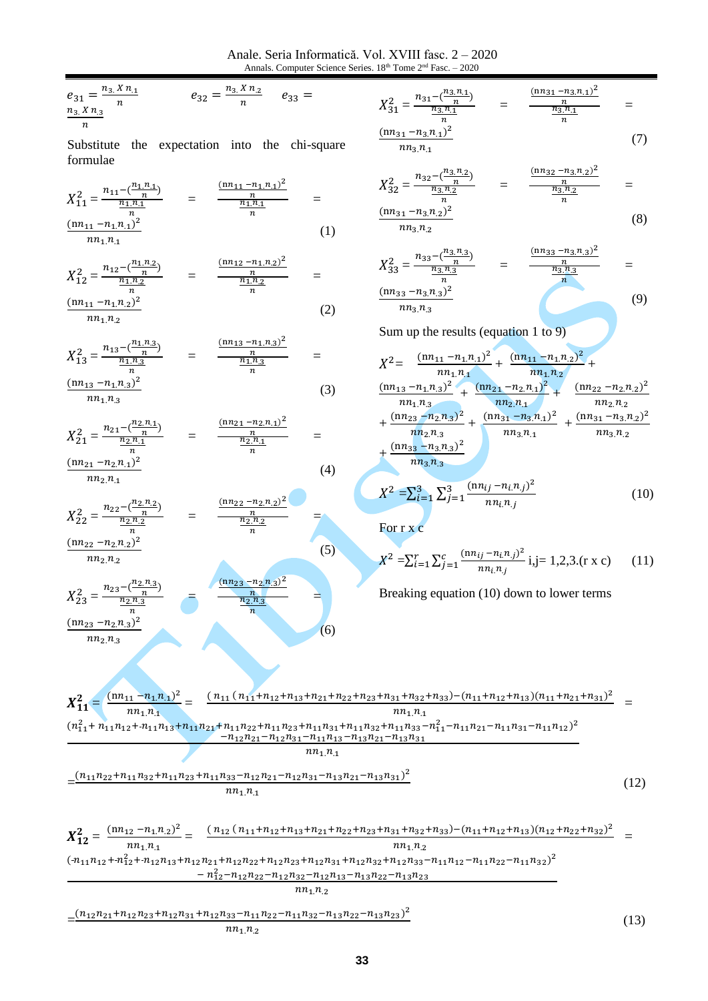Anale. Seria Informatică. Vol. XVIII fasc. 2 - 2020 Annals. Computer Science Series.  $18<sup>th</sup>$  Tome  $2<sup>nd</sup>$  Fasc.  $-2020$ 

$$
e_{31} = \frac{n_{3} X n_{1}}{n} \qquad \qquad e_{32} = \frac{n_{3} X n_{2}}{n} \qquad e_{33} = \frac{n_{3} X n_{3}}{n}
$$

Substitute the expectation into the chi-square formulae

$$
X_{11}^{2} = \frac{n_{11} - \frac{(n_{11}n_{11})}{n}}{n_{11}n_{11}} = \frac{\frac{(nn_{11} - n_{11}n_{11})^{2}}{n}}{\frac{n_{11}n_{11}}{n}} = \frac{\frac{(nn_{11} - n_{11}n_{11})^{2}}{n}}{\frac{n_{11}n_{11}}{n}} = \frac{(1)}{1}
$$

$$
X_{12}^2 = \frac{n_{12} - \frac{n_{11}n_{22}}{n}}{\frac{n_{11}n_{2}}{n}} = \frac{\frac{(nn_{12} - n_{11}n_{2})^2}{n}}{\frac{n_{11}n_{2}}{n}} = \frac{(nn_{11} - n_{11}n_{2})^2}{n}
$$
 (2)

$$
nn_1.n_2
$$

$$
X_{13}^2 = \frac{n_{13} - \frac{(n_{11}n_{.3})}{n}}{n_{11}n_{.3}} = \frac{\frac{(nn_{13} - n_{11}n_{.3})^2}{n}}{n}
$$
  

$$
= \frac{(nn_{13} - n_{11}n_{.3})^2}{n}
$$
 (3)

$$
nn_1.n_3
$$

$$
X_{21}^2 = \frac{n_{21} - (\frac{n_2 n_1}{n})}{\frac{n_2 n_1}{n}} = \frac{\frac{(n n_{21} - n_2 n_1)^2}{n}}{\frac{n_2 n_1}{n}} =
$$
  
\n
$$
\frac{(n n_{21} - n_2 n_1)^2}{\frac{n_2 n_1}{n}}
$$
 (4)

 $-n_2 n_2)^2$ 

 $(n_2 n_3)^2$ 

$$
nn_2.n_{.1}
$$

$$
X_{22}^2 = \frac{n_{22} - (n_{21} - n_{22})}{n_{21} - (n_{22} - n_{21})^2} = \frac{(n_{22} - n_{21})}{n_{21} - (n_{21} - n_{21})^2}
$$

$$
X_{23}^2 = \frac{n_{23} - (\frac{n_2 n_3}{n})}{\frac{n_2 n_3}{n_2 n_3}}
$$
 = 
$$
\frac{(\text{nn}_2)^2}{\text{nn}_2 n_3}
$$

$$
X_{31}^2 = \frac{n_{31} - (\frac{n_{31}n_{.1}}{n})}{\frac{n_{31}n_{.1}}{n}} = \frac{\frac{(n n_{31} - n_{31}n_{.1})^2}{n}}{\frac{n_{31}n_{.1}}{n}} =
$$

$$
\frac{1}{n n_3 n_1}
$$
 (7)

$$
X_{32}^2 = \frac{n_{32} - (\frac{n_{31}n_{2}}{n})}{\frac{n_{31}n_{2}}{n}} = \frac{\frac{\ln n_{32} - n_{31}n_{21}}{n}}{\frac{n_{31}n_{2}}{n}} =
$$

$$
\frac{(nn_{31} - n_{3}n_{.2})^2}{nn_{3}n_{.2}}
$$
 (8)

$$
X_{33}^2 = \frac{n_{33} - \left(\frac{n_{3}n_{3}}{n}\right)}{\frac{n_{3}n_{3}}{n}} = \frac{\frac{(nn_{33} - n_{3}n_{3})^2}{n}}{\frac{n_{3}n_{3}}{n}} = \frac{\left(\frac{n_{33} - n_{3}n_{3}}{n}\right)^2}{n}
$$
\n
$$
(9)
$$

Sum up the results (equation 1 to 9)

$$
X^{2} = \frac{(nn_{11} - n_{1}n_{1})^{2}}{nn_{1}n_{1}} + \frac{(nn_{11} - n_{1}n_{2})^{2}}{nn_{1}n_{2}} + \frac{(nn_{13} - n_{1}n_{3})^{2}}{nn_{1}n_{3}} + \frac{(nn_{21} - n_{2}n_{1})^{2}}{nn_{2}n_{1}} + \frac{(nn_{22} - n_{2}n_{2})^{2}}{nn_{2}n_{2}} + \frac{(nn_{23} - n_{2}n_{3})^{2}}{nn_{2}n_{3}} + \frac{(nn_{31} - n_{3}n_{1})^{2}}{nn_{3}n_{1}} + \frac{(nn_{31} - n_{3}n_{2})^{2}}{nn_{3}n_{2}} + \frac{(nn_{33} - n_{3}n_{3})^{2}}{nn_{3}n_{3}}
$$

$$
X^{2} = \sum_{i=1}^{3} \sum_{j=1}^{3} \frac{(nn_{ij} - n_{i}n_{j})^{2}}{nn_{i}n_{j}}
$$
(10)

Forrxc

$$
X^{2} = \sum_{i=1}^{r} \sum_{j=1}^{c} \frac{(nn_{ij} - n_{i}n_{j})^{2}}{nn_{i}n_{j}} i,j=1,2,3.(r x c) \qquad (11)
$$

 $(13)$ 

Breaking equation (10) down to lower terms

$$
X_{11}^{2} = \frac{(nn_{11} - n_{1}n_{1})^{2}}{nn_{1}n_{1}} = \frac{(n_{11}(n_{11} + n_{12} + n_{13} + n_{21} + n_{22} + n_{23} + n_{31} + n_{32} + n_{33}) - (n_{11} + n_{12} + n_{13})(n_{11} + n_{21} + n_{31})^{2}}{nn_{1}n_{1}} = \frac{(n_{11}^{2} + n_{11}n_{12} + n_{11}n_{13} + n_{11}n_{22} + n_{11}n_{23} + n_{11}n_{31} + n_{11}n_{32} + n_{11}n_{33} - n_{11}^{2} - n_{11}n_{21} - n_{11}n_{31} - n_{11}n_{12})^{2}}{-n_{12}n_{21} - n_{12}n_{31} - n_{11}n_{13} - n_{13}n_{21} - n_{13}n_{31}}
$$
\n
$$
= \frac{(n_{11}n_{22} + n_{11}n_{32} + n_{11}n_{23} + n_{11}n_{33} - n_{12}n_{21} - n_{12}n_{31} - n_{13}n_{21} - n_{13}n_{31})^{2}}{nn_{1}n_{1}}
$$
\n
$$
= \frac{(n_{11}n_{22} + n_{11}n_{32} + n_{11}n_{23} + n_{11}n_{33} - n_{12}n_{21} - n_{12}n_{31} - n_{13}n_{21} - n_{13}n_{31})^{2}}{nn_{1}n_{1}}
$$
\n
$$
X_{12}^{2} = \frac{(nn_{12} - n_{1}n_{2})^{2}}{nn_{1}n_{1}}
$$
\n
$$
= \frac{(n_{12}(n_{11} + n_{12} + n_{13} + n_{21} + n_{22} + n_{23} + n_{31} + n_{32} + n_{33}) - (n_{11} + n_{12} + n_{13})(n_{12} + n_{22} + n_{32})^{2}}{nn_{1}n_{2}}
$$
\n
$$
= \frac{(n_{11}n_{12} - n_{1}n_{2})
$$

 $nn_1$  $n_1$  $nn_1.n_{.2}$  $(n_{11}n_{12}+n_{12}^2+n_{12}n_{13}+n_{12}n_{21}+n_{12}n_{22}+n_{12}n_{23}+n_{12}n_{31}+n_{12}n_{32}+n_{12}n_{33}-n_{11}n_{12}-n_{11}n_{22}-n_{11}n_{32})^2$  $-n_{12}^2-n_{12}n_{22}-n_{12}n_{32}-n_{12}n_{13}-n_{13}n_{22}-n_{13}n_{23}$  $nn_{1}n_{.2}$ 

 $(5)$ 

 $(6)$ 

$$
=\frac{(n_{12}n_{21}+n_{12}n_{23}+n_{12}n_{31}+n_{12}n_{33}-n_{11}n_{22}-n_{11}n_{32}-n_{13}n_{22}-n_{13}n_{23})^2}{nn_1n_2}
$$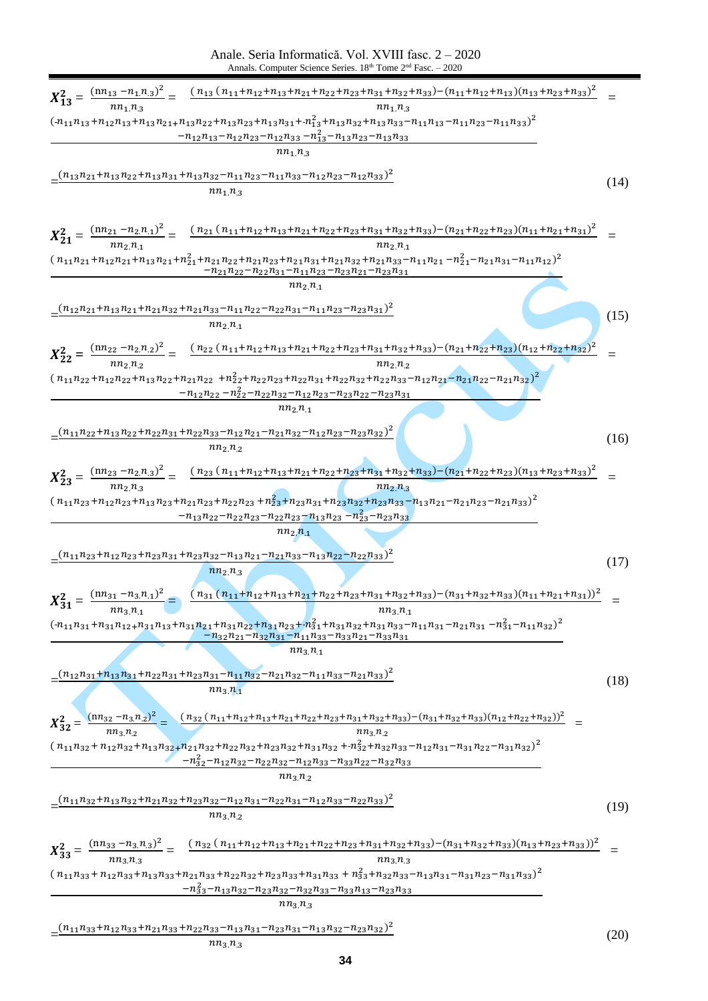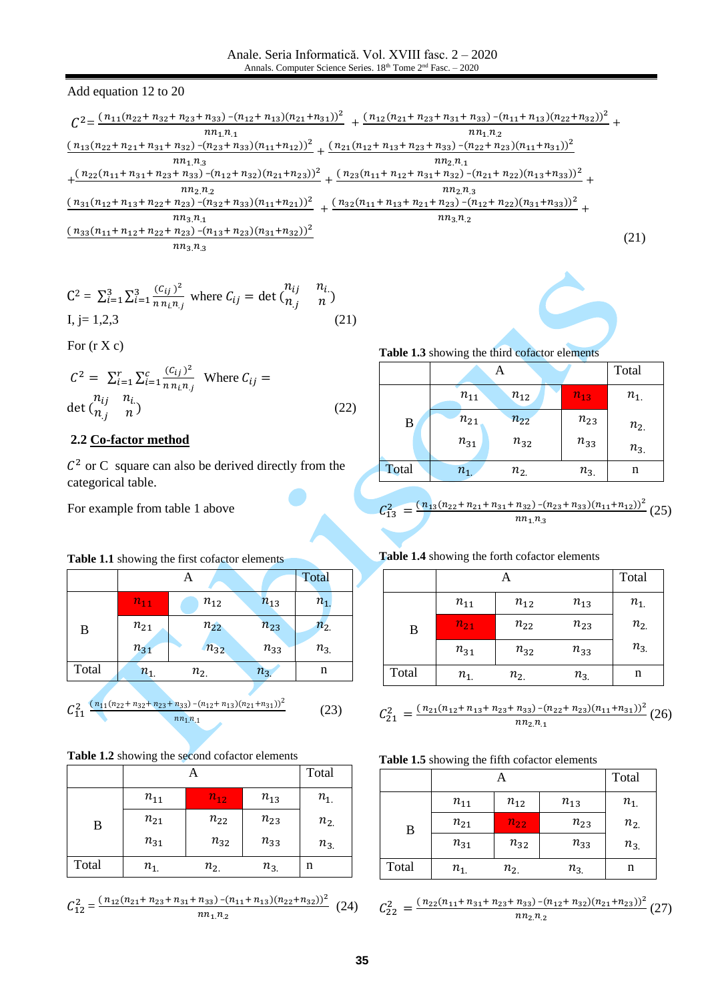Add equation 12 to 20

$$
\frac{C^{2} = \frac{(n_{11}(n_{22}+n_{32}+n_{23}+n_{33})-(n_{12}+n_{13})(n_{21}+n_{31}))^{2}}{n n_{1} n_{1}} + \frac{(n_{12}(n_{21}+n_{23}+n_{31}+n_{33})-(n_{11}+n_{13})(n_{22}+n_{32}))^{2}}{n n_{1} n_{2}} + \frac{(n_{13}(n_{22}+n_{21}+n_{31}+n_{32})-(n_{23}+n_{33})(n_{11}+n_{12}))^{2}}{n n_{1} n_{3}} + \frac{(n_{21}(n_{12}+n_{13}+n_{23}+n_{33})-(n_{22}+n_{23})(n_{11}+n_{31}))^{2}}{n n_{2} n_{1}}
$$
  
+ 
$$
\frac{(n_{22}(n_{11}+n_{31}+n_{23}+n_{33})-(n_{12}+n_{32})(n_{21}+n_{23}))^{2}}{n n_{2} n_{2}} + \frac{(n_{23}(n_{11}+n_{12}+n_{31}+n_{32})-(n_{21}+n_{22})(n_{13}+n_{33}))^{2}}{n n_{2} n_{3}} + \frac{(n_{33}(n_{11}+n_{12}+n_{31}+n_{22}+n_{23})-(n_{32}+n_{33})(n_{11}+n_{21}))^{2}}{n n_{3} n_{1}} + \frac{(n_{32}(n_{11}+n_{13}+n_{21}+n_{23})-(n_{12}+n_{22})(n_{31}+n_{33}))^{2}}{n n_{3} n_{1}} + \frac{(n_{33}(n_{11}+n_{12}+n_{22}+n_{23})-(n_{13}+n_{23})(n_{31}+n_{32}))^{2}}{n n_{3} n_{3}}
$$
  
(21)

$$
C^{2} = \sum_{i=1}^{3} \sum_{i=1}^{3} \frac{(c_{ij})^{2}}{n n_{i} n_{j}} \text{ where } C_{ij} = \det \begin{pmatrix} n_{ij} & n_{i} \\ n_{j} & n \end{pmatrix}
$$
  
I, j= 1,2,3 (21)

For  $(r X c)$ 

$$
C^{2} = \sum_{i=1}^{r} \sum_{i=1}^{c} \frac{(C_{ij})^{2}}{n n_{i} n_{j}}
$$
 Where  $C_{ij} =$   
det  $\begin{pmatrix} n_{ij} & n_{i} \\ n_{j} & n \end{pmatrix}$  (22)

# 2.2 Co-factor method

 $C<sup>2</sup>$  or C square can also be derived directly from the categorical table.

For example from table 1 above

# Table 1.1 showing the first cofactor elements

|       |          | Α        |          | Total    |
|-------|----------|----------|----------|----------|
|       | $n_{11}$ | $n_{12}$ | $n_{13}$ | $n_{1.}$ |
| B     | $n_{21}$ | $n_{22}$ | $n_{23}$ | $n_{2}$  |
|       | $n_{31}$ | $n_{32}$ | $n_{33}$ | $n_{3}$  |
| Total | $n_{1}$  | $n_{2.}$ | $n_{3}$  | n        |
|       |          |          |          |          |

$$
C_{11}^2 \frac{(n_{11}(n_{22}+n_{32}+n_{23}+n_{33})-(n_{12}+n_{13})(n_{21}+n_{31}))^2}{nn_1n_1}
$$
 (23)

# Table 1.2 showing the second cofactor elements

|       |          |          | Total    |          |
|-------|----------|----------|----------|----------|
|       | $n_{11}$ | $n_{12}$ | $n_{13}$ | $n_{1.}$ |
| B     | $n_{21}$ | $n_{22}$ | $n_{23}$ | $n_{2}$  |
|       | $n_{31}$ | $n_{32}$ | $n_{33}$ | $n_{3}$  |
| Total | $n_{1.}$ | $n_{2.}$ | $n_{3}$  | n        |

$$
C_{12}^2 = \frac{(n_{12}(n_{21} + n_{23} + n_{31} + n_{33}) - (n_{11} + n_{13})(n_{22} + n_{32}))^2}{nn_{1}n_{2}} \tag{24}
$$

Table 1.3 showing the third cofactor elements

Table 1.4 showing the forth cofactor elements

|       |          |          |          | Total    |
|-------|----------|----------|----------|----------|
|       | $n_{11}$ | $n_{12}$ | $n_{13}$ | $n_{1.}$ |
| B     | $n_{21}$ | $n_{22}$ | $n_{23}$ | $n_{2}$  |
|       | $n_{31}$ | $n_{32}$ | $n_{33}$ | $n_{3}$  |
| Total | $n_{1}$  | $n_{2}$  | $n_{3}$  | n        |

$$
C_{13}^2 = \frac{(n_{13}(n_{22} + n_{21} + n_{31} + n_{32}) - (n_{23} + n_{33})(n_{11} + n_{12}))^2}{nn_{1}n_{3}} (25)
$$

|       |          |          |          | Total    |
|-------|----------|----------|----------|----------|
|       | $n_{11}$ | $n_{12}$ | $n_{13}$ | $n_{1.}$ |
| B     | $n_{21}$ | $n_{22}$ | $n_{23}$ | $n_{2}$  |
|       | $n_{31}$ | $n_{32}$ | $n_{33}$ | $n_{3}$  |
| Total | $n_{1.}$ | $n_{2.}$ | $n_{3}$  | n        |

$$
C_{21}^2 = \frac{(n_{21}(n_{12} + n_{13} + n_{23} + n_{33}) - (n_{22} + n_{23})(n_{11} + n_{31}))^2}{n n_{2} n_{1}}
$$
(26)

| Table 1.5 showing the fifth cofactor elements |
|-----------------------------------------------|
|-----------------------------------------------|

|       |          |          |          | Total    |
|-------|----------|----------|----------|----------|
|       | $n_{11}$ | $n_{12}$ | $n_{13}$ | $n_{1.}$ |
| B     | $n_{21}$ | $n_{22}$ | $n_{23}$ | $n_{2}$  |
|       | $n_{31}$ | $n_{32}$ | $n_{33}$ | $n_{3}$  |
| Total | $n_{1.}$ | $n_{2}$  | $n_{3}$  | n        |

$$
C_{22}^2 = \frac{(n_{22}(n_{11} + n_{31} + n_{23} + n_{33}) - (n_{12} + n_{32})(n_{21} + n_{23}))^2}{n n_{2} n_{2}} (27)
$$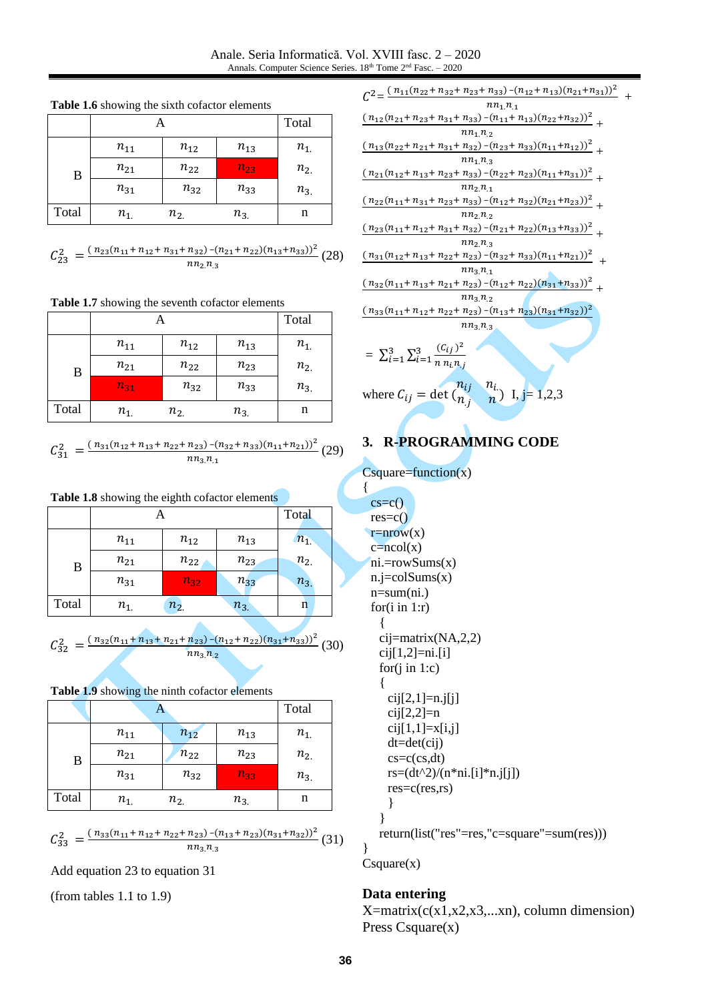**Table 1.6** showing the sixth cofactor elements A Total

|       | $n_{11}$ | $n_{12}$ | $n_{13}$ | $n_{1.}$ |
|-------|----------|----------|----------|----------|
| B     | $n_{21}$ | $n_{22}$ | $n_{23}$ | $n_{2}$  |
|       | $n_{31}$ | $n_{32}$ | $n_{33}$ | $n_{3}$  |
| Total | $n_{1.}$ | $n_{2.}$ | $n_{3}$  | n        |

$$
C_{23}^2 = \frac{(n_{23}(n_{11} + n_{12} + n_{31} + n_{32}) - (n_{21} + n_{22})(n_{13} + n_{33}))^2}{n n_{2} n_{3}}
$$
(28)

**Table 1.7** showing the seventh cofactor elements

|                  |          |          |          | Total    |
|------------------|----------|----------|----------|----------|
|                  | $n_{11}$ | $n_{12}$ | $n_{13}$ | $n_{1.}$ |
| $\boldsymbol{B}$ | $n_{21}$ | $n_{22}$ | $n_{23}$ | $n_{2}$  |
|                  | $n_{31}$ | $n_{32}$ | $n_{33}$ | $n_{3}$  |
| Total            | $n_{1.}$ | $n_{2}$  | $n_{3}$  | n        |

 $C_{31}^2 = \frac{(n_{31}(n_{12}+n_{13}+n_{22}+n_{23})-(n_{32}+n_{33})(n_{11}+n_{21}))^2}{n_{12}n_{13}}$  $\frac{n_{23} - (n_{32} + n_{33})(n_{11} + n_{21})}{n n_{3} n_{.1}}$  (29)

**Table 1.8** showing the eighth cofactor elements

|       |          |          |          | Total   |
|-------|----------|----------|----------|---------|
|       | $n_{11}$ | $n_{12}$ | $n_{13}$ | $n_{1}$ |
| B     | $n_{21}$ | $n_{22}$ | $n_{23}$ | $n_{2}$ |
|       | $n_{31}$ | $n_{32}$ | $n_{33}$ | $n_{3}$ |
| Total | $n_{1}$  | $n_{2}$  | $n_{3}$  | n       |

$$
C_{32}^2 = \frac{(n_{32}(n_{11} + n_{13} + n_{21} + n_{23}) - (n_{12} + n_{22})(n_{31} + n_{33}))^2}{n n_{3} n_{2}} (30)
$$

**Table 1.9** showing the ninth cofactor elements

|                  | A        |          |          | Total    |
|------------------|----------|----------|----------|----------|
|                  | $n_{11}$ | $n_{12}$ | $n_{13}$ | $n_{1.}$ |
| $\boldsymbol{B}$ | $n_{21}$ | $n_{22}$ | $n_{23}$ | $n_{2}$  |
|                  | $n_{31}$ | $n_{32}$ | $n_{33}$ | $n_{3}$  |
| Total            | $n_{1.}$ | $n_{2}$  | $n_{3}$  | n        |

 $C_{33}^2 = \frac{(n_{33}(n_{11}+n_{12}+n_{22}+n_{23})-(n_{13}+n_{23})(n_{31}+n_{32}))^2}{n_{12}n_{2}}$  $\frac{n_{23} - (n_{13} + n_{23})(n_{31} + n_{32}))}{n n_{3} n_{3}}$  (31)

Add equation 23 to equation 31

(from tables 1.1 to 1.9)

| $C^{2} = \frac{(n_{11}(n_{22}+n_{32}+n_{23}+n_{33})-(n_{12}+n_{13})(n_{21}+n_{31}))^{2}}{2}$                                              |
|-------------------------------------------------------------------------------------------------------------------------------------------|
| $nn_1$ $n_{.1}$                                                                                                                           |
| $\frac{(n_{12}(n_{21}+n_{23}+n_{31}+n_{33})-(n_{11}+n_{13})(n_{22}+n_{32}))^2}{(n_{11}+n_{13})(n_{22}+n_{32}))^2}$                        |
| $nn_{1.}n_{.2}$                                                                                                                           |
| $\frac{(n_{13}(n_{22}+n_{21}+n_{31}+n_{32})-(n_{23}+n_{33})(n_{11}+n_{12}))^2}{(n_{13}+n_{23}+n_{33})(n_{11}+n_{12}))^2}$                 |
| $nn_{1}n_{3}$                                                                                                                             |
| $\frac{(n_{21}(n_{12}+n_{13}+n_{23}+n_{33})-(n_{22}+n_{23})(n_{11}+n_{31}))^2}{(n_{21}+n_{22}+n_{23})(n_{11}+n_{31}))^2}$                 |
| $nn_{2.}n_{.1}$                                                                                                                           |
| $(n_{22}(n_{11}+n_{31}+n_{23}+n_{33})-(n_{12}+n_{32})(n_{21}+n_{23}))^{2}$                                                                |
| $nn_{2}n_{.2}$                                                                                                                            |
| $\frac{(n_{23}(n_{11}+n_{12}+n_{31}+n_{32})-(n_{21}+n_{22})(n_{13}+n_{33}))^2}{(n_{13}+n_{33})^2}$                                        |
| $nn_2n_3$                                                                                                                                 |
| $\frac{(n_{31}(n_{12}+n_{13}+n_{22}+n_{23})-(n_{32}+n_{33})(n_{11}+n_{21}))^2}{(n_{31}(n_{12}+n_{23})+(n_{32}+n_{33})(n_{11}+n_{21}))^2}$ |
| $nn_{3.}n_{.1}$                                                                                                                           |
| $(n_{32}(n_{11}+n_{13}+n_{21}+n_{23})-(n_{12}+n_{22})(n_{31}+n_{33}))^2$                                                                  |
| $nn_{3.}n_{.2}$                                                                                                                           |
| $(n_{33}(n_{11}+n_{12}+n_{22}+n_{23})-(n_{13}+n_{23})(n_{31}+n_{32}))^2$                                                                  |
| $nn_3n_3$                                                                                                                                 |
|                                                                                                                                           |
| = $\sum_{i=1}^{3} \sum_{i=1}^{3} \frac{(C_{ij})^2}{n n_i n_i}$                                                                            |
|                                                                                                                                           |
|                                                                                                                                           |
| $rac{n_{ij}}{2}$<br>$n_{i_{\infty}-\mathbf{r}}$                                                                                           |

# **3. R-PROGRAMMING CODE**

 $\binom{n}{n-j}$   $\binom{n}{n}$  I, j= 1,2,3

```
Csquare=function(x)
```
{

where  $C_{ij} = \det ($ 

 $c$ s=c $()$  $res= c()$  $r=$ nrow $(x)$  $c = ncol(x)$ ni.=rowSums(x) n.j=colSums(x) n=sum(ni.) for(i in 1:r) { cij=matrix(NA,2,2)  $cij[1,2]=ni.[i]$ for(j in 1:c) {  $cij[2,1]=n.j[j]$  $cij[2,2]=n$  $cij[1,1]=x[i,j]$ dt=det(cij)  $c s = c (cs, dt)$  $rs = (dt^{2}/(n*ni.[i]*n.j[j])$ res=c(res,rs) } } return(list("res"=res,"c=square"=sum(res)))

}  $C<sub>square</sub>(x)$ 

# **Data entering**

 $X=matrix(c(x1,x2,x3,...xn),$  column dimension) Press Csquare(x)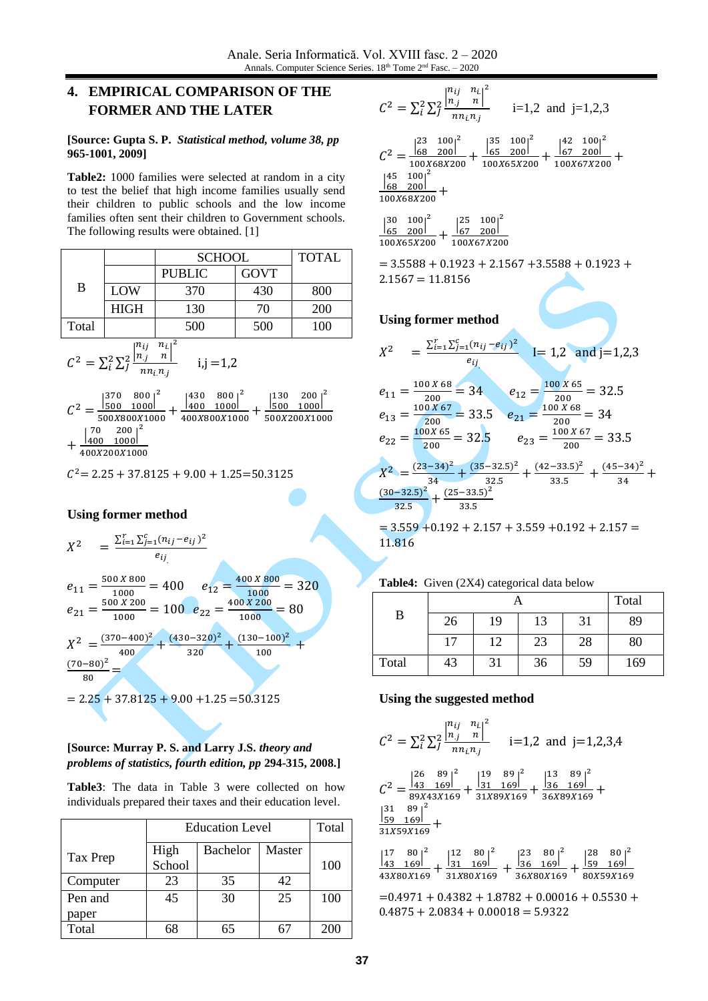# **4. EMPIRICAL COMPARISON OF THE FORMER AND THE LATER**

#### **[Source: Gupta S. P.** *Statistical method, volume 38, pp* **965-1001, 2009]**

**Table2:** 1000 families were selected at random in a city to test the belief that high income families usually send their children to public schools and the low income families often sent their children to Government schools. The following results were obtained. [\[1\]](#page-6-2)

|       |             | <b>SCHOOL</b>         | <b>TOTAL</b> |            |
|-------|-------------|-----------------------|--------------|------------|
| B     |             | <b>PUBLIC</b>         | <b>GOVT</b>  |            |
|       | LOW         | 370                   | 430          | 800        |
|       | <b>HIGH</b> | 130                   | 70           | <b>200</b> |
| Total |             | 500                   | 500          | 100        |
|       | $n_{ii}$    | $n_{i1}$ <sup>2</sup> |              |            |

$$
C^{2} = \sum_{i}^{2} \sum_{j}^{2} \frac{\binom{n_{ij}}{n_j} \cdot \frac{n_{i}}{n_{i}}^{2}}{n n_{i} n_{j}} \qquad i,j = 1,2
$$

$$
C^{2} = \frac{\begin{vmatrix} 370 & 800 \\ 500 & 1000 \end{vmatrix}^{2}}{500X800X1000} + \frac{\begin{vmatrix} 430 & 800 \\ 400 & 1000 \end{vmatrix}^{2}}{400X800X1000} + \frac{\begin{vmatrix} 70 & 200 \\ 400 & 1000 \end{vmatrix}^{2}}{400X200X1000} + \frac{\begin{vmatrix} 70 & 200 \\ 400 & 1000 \end{vmatrix}^{2}}{400X200X1000}
$$

 $C^2$  = 2.25 + 37.8125 + 9.00 + 1.25 = 50.3125

## **Using former method**

$$
X^{2} = \frac{\sum_{i=1}^{r} \sum_{j=1}^{c} (n_{ij} - e_{ij})^{2}}{e_{ij}}
$$
  
\n
$$
e_{11} = \frac{500 X 800}{1000} = 400 \t e_{12} = \frac{400 X 800}{1000} = 320
$$
  
\n
$$
e_{21} = \frac{500 X 200}{1000} = 100 \t e_{22} = \frac{400 X 200}{1000} = 80
$$
  
\n
$$
X^{2} = \frac{(370 - 400)^{2}}{400} + \frac{(430 - 320)^{2}}{320} + \frac{(130 - 100)^{2}}{100} + \frac{(70 - 80)^{2}}{80} =
$$
  
\n= 2.25 + 37.8125 + 9.00 + 1.25 = 50.3125

### **[Source: Murray P. S. and Larry J.S.** *theory and problems of statistics, fourth edition, pp* **294-315, 2008.]**

**Table3**: The data in Table 3 were collected on how individuals prepared their taxes and their education level.

|          | <b>Education Level</b> | Total           |        |     |
|----------|------------------------|-----------------|--------|-----|
| Tax Prep | High                   | <b>Bachelor</b> | Master |     |
|          | School                 |                 |        | 100 |
| Computer | 23                     | 35              | 42     |     |
| Pen and  | 45                     | 30              | 25     | 100 |
| paper    |                        |                 |        |     |
| Total    | 68                     | 65              |        | 200 |

$$
C^{2} = \sum_{i}^{2} \sum_{j}^{2} \frac{\begin{vmatrix} n_{ij} & n_{i} \end{vmatrix}^{2}}{n n_{i} n_{j}} \qquad \text{i=1,2 and } \text{ j=1,2,3}
$$
  
\n
$$
C^{2} = \frac{\begin{vmatrix} 23 & 100 \end{vmatrix}^{2}}{100 \times 68 \times 200} + \frac{\begin{vmatrix} 35 & 100 \end{vmatrix}^{2}}{100 \times 65 \times 200} + \frac{\begin{vmatrix} 42 & 100 \end{vmatrix}^{2}}{100 \times 67 \times 200} + \frac{\begin{vmatrix} 45 & 100 \end{vmatrix}^{2}}{100 \times 68 \times 200} + \frac{\begin{vmatrix} 45 & 100 \end{vmatrix}^{2}}{100 \times 68 \times 200} + \frac{\begin{vmatrix} 45 & 100 \end{vmatrix}^{2}}{100 \times 68 \times 200} + \frac{\begin{vmatrix} 45 & 100 \end{vmatrix}^{2}}{100 \times 68 \times 200} + \frac{\begin{vmatrix} 45 & 100 \end{vmatrix}^{2}}{100 \times 68 \times 200} + \frac{\begin{vmatrix} 45 & 100 \end{vmatrix}^{2}}{100 \times 68 \times 200} + \frac{\begin{vmatrix} 45 & 100 \end{vmatrix}^{2}}{100 \times 68 \times 200} + \frac{\begin{vmatrix} 45 & 100 \end{vmatrix}^{2}}{100 \times 68 \times 200} + \frac{\begin{vmatrix} 45 & 100 \end{vmatrix}^{2}}{100 \times 68 \times 200} + \frac{\begin{vmatrix} 45 & 100 \end{vmatrix}^{2}}{100 \times 68 \times 200} + \frac{\begin{vmatrix} 45 & 100 \end{vmatrix}^{2}}{100 \times 68 \times 200} + \frac{\begin{vmatrix} 45 & 100 \end{vmatrix}^{2}}{100 \times 68 \times 200} + \frac{\begin{vmatrix} 45 & 100 \end{vmatrix}^{2}}{100 \times 6
$$

$$
\frac{\begin{vmatrix}30 & 100\end{vmatrix}^2}{100X65X200} + \frac{\begin{vmatrix}25 & 100\end{vmatrix}^2}{100X67X200}
$$

 $= 3.5588 + 0.1923 + 2.1567 + 3.5588 + 0.1923 +$  $2.1567 = 11.8156$ 

### **Using former method**

$$
X^{2} = \frac{\sum_{i=1}^{r} \sum_{j=1}^{c} (n_{ij} - e_{ij})^{2}}{e_{ij}}
$$
 I= 1,2 and j=1,2,3  
\n
$$
e_{11} = \frac{100 X 68}{200} = 34
$$
 
$$
e_{12} = \frac{100 X 65}{200} = 32.5
$$
\n
$$
e_{13} = \frac{100 X 67}{200} = 33.5
$$
 
$$
e_{21} = \frac{100 X 68}{200} = 34
$$
\n
$$
e_{22} = \frac{100 X 65}{200} = 32.5
$$
 
$$
e_{23} = \frac{100 X 67}{200} = 33.5
$$
\n
$$
X^{2} = \frac{(23-34)^{2}}{34} + \frac{(35-32.5)^{2}}{32.5} + \frac{(42-33.5)^{2}}{33.5} + \frac{(45-34)^{2}}{34} + \frac{(30-32.5)^{2}}{32.5} + \frac{(25-33.5)^{2}}{33.5}
$$

 $= 3.559 + 0.192 + 2.157 + 3.559 + 0.192 + 2.157 =$ 11.816

|       |    | Total |    |    |     |
|-------|----|-------|----|----|-----|
| B     | 26 | 19    | 13 | 31 | 89  |
|       | 17 | 12    | 23 | 28 | 80  |
| Total | 43 | 31    | 36 | 59 | 169 |

### **Table4:** Given (2X4) categorical data below

### **Using the suggested method**

$$
C^{2} = \sum_{i}^{2} \sum_{j}^{2} \frac{\begin{vmatrix} n_{ij} & n_{i} \\ n_{j} & n \end{vmatrix}^{2}}{n n_{i} n_{j}} \quad \text{i=1,2 and } \text{j=1,2,3,4}
$$
  
\n
$$
C^{2} = \frac{\begin{vmatrix} 26 & 89 \\ 43 & 169 \end{vmatrix}^{2}}{89 \times 43 \times 169} + \frac{\begin{vmatrix} 19 & 89 \\ 31 & 169 \end{vmatrix}^{2}}{31 \times 89 \times 169} + \frac{\begin{vmatrix} 13 & 89 \\ 36 & 169 \end{vmatrix}^{2}}{36 \times 89 \times 169} + \frac{\begin{vmatrix} 31 & 89 \\ 59 & 169 \end{vmatrix}^{2}}{31 \times 59 \times 169} + \frac{\begin{vmatrix} 13 & 89 \\ 1 & 169 \end{vmatrix}^{2}}{31 \times 59 \times 169} + \frac{\begin{vmatrix} 13 & 89 \\ 1 & 169 \end{vmatrix}^{2}}{31 \times 59 \times 169} + \frac{\begin{vmatrix} 13 & 89 \\ 1 & 169 \end{vmatrix}^{2}}{31 \times 59 \times 169} + \frac{\begin{vmatrix} 13 & 89 \\ 1 & 169 \end{vmatrix}^{2}}{31 \times 59 \times 169} + \frac{\begin{vmatrix} 13 & 89 \\ 1 & 169 \end{vmatrix}^{2}}{31 \times 59 \times 169} + \frac{\begin{vmatrix} 13 & 89 \\ 1 & 169 \end{vmatrix}^{2}}{31 \times 59 \times 169} + \frac{\begin{vmatrix} 13 & 89 \\ 1 & 169 \end{vmatrix}^{2}}{31 \times 59 \times 169} + \frac{\begin{vmatrix} 13 & 89 \\ 1 & 169 \end{vmatrix}^{2}}{31 \times 59 \times 169} + \frac{\begin{vmatrix} 13 & 89 \\ 1 & 169 \end{vmatrix}^{2}}{31 \times 59 \times 169} + \frac{\begin{vmatrix} 13 & 89 \\ 1 & 169 \end{vmatrix
$$

| 117 | 80 I <sup>2</sup> |     | $801^2$   | 123 | 80 <sup>2</sup> | 128 | 80        |
|-----|-------------------|-----|-----------|-----|-----------------|-----|-----------|
| 143 | 1691              | 131 | 1691      | 136 | 1691            | 159 | 1691      |
|     | 43X80X169         |     | 31X80X169 |     | 36X80X169       |     | 80X59X169 |

 $=0.4971 + 0.4382 + 1.8782 + 0.00016 + 0.5530 +$  $0.4875 + 2.0834 + 0.00018 = 5.9322$